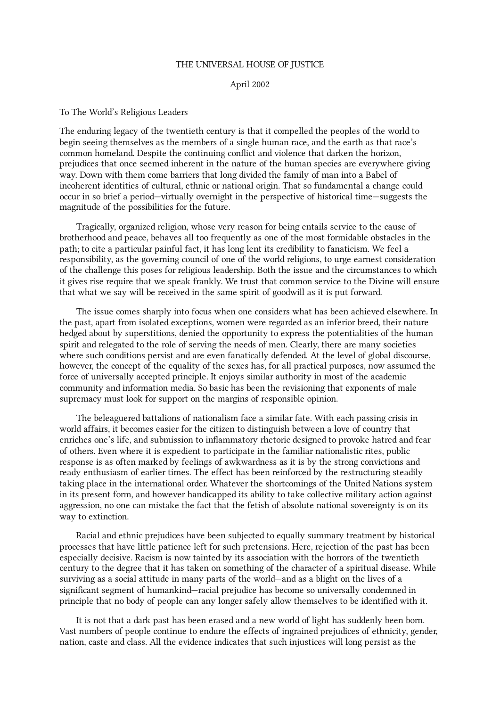## THE UNIVERSAL HOUSE OF JUSTICE

## April 2002

## To The World's Religious Leaders

The enduring legacy of the twentieth century is that it compelled the peoples of the world to begin seeing themselves as the members of a single human race, and the earth as that race's common homeland. Despite the continuing conflict and violence that darken the horizon, prejudices that once seemed inherent in the nature of the human species are everywhere giving way. Down with them come barriers that long divided the family of man into a Babel of incoherent identities of cultural, ethnic or national origin. That so fundamental a change could occur in so brief a period—virtually overnight in the perspective of historical time—suggests the magnitude of the possibilities for the future.

Tragically, organized religion, whose very reason for being entails service to the cause of brotherhood and peace, behaves all too frequently as one of the most formidable obstacles in the path; to cite a particular painful fact, it has long lent its credibility to fanaticism. We feel a responsibility, as the governing council of one of the world religions, to urge earnest consideration of the challenge this poses for religious leadership. Both the issue and the circumstances to which it gives rise require that we speak frankly. We trust that common service to the Divine will ensure that what we say will be received in the same spirit of goodwill as it is put forward.

The issue comes sharply into focus when one considers what has been achieved elsewhere. In the past, apart from isolated exceptions, women were regarded as an inferior breed, their nature hedged about by superstitions, denied the opportunity to express the potentialities of the human spirit and relegated to the role of serving the needs of men. Clearly, there are many societies where such conditions persist and are even fanatically defended. At the level of global discourse, however, the concept of the equality of the sexes has, for all practical purposes, now assumed the force of universally accepted principle. It enjoys similar authority in most of the academic community and information media. So basic has been the revisioning that exponents of male supremacy must look for support on the margins of responsible opinion.

The beleaguered battalions of nationalism face a similar fate. With each passing crisis in world affairs, it becomes easier for the citizen to distinguish between a love of country that enriches one's life, and submission to inflammatory rhetoric designed to provoke hatred and fear of others. Even where it is expedient to participate in the familiar nationalistic rites, public response is as often marked by feelings of awkwardness as it is by the strong convictions and ready enthusiasm of earlier times. The effect has been reinforced by the restructuring steadily taking place in the international order. Whatever the shortcomings of the United Nations system in its present form, and however handicapped its ability to take collective military action against aggression, no one can mistake the fact that the fetish of absolute national sovereignty is on its way to extinction.

Racial and ethnic prejudices have been subjected to equally summary treatment by historical processes that have little patience left for such pretensions. Here, rejection of the past has been especially decisive. Racism is now tainted by its association with the horrors of the twentieth century to the degree that it has taken on something of the character of a spiritual disease. While surviving as a social attitude in many parts of the world—and as a blight on the lives of a significant segment of humankind—racial prejudice has become so universally condemned in principle that no body of people can any longer safely allow themselves to be identified with it.

It is not that a dark past has been erased and a new world of light has suddenly been born. Vast numbers of people continue to endure the effects of ingrained prejudices of ethnicity, gender, nation, caste and class. All the evidence indicates that such injustices will long persist as the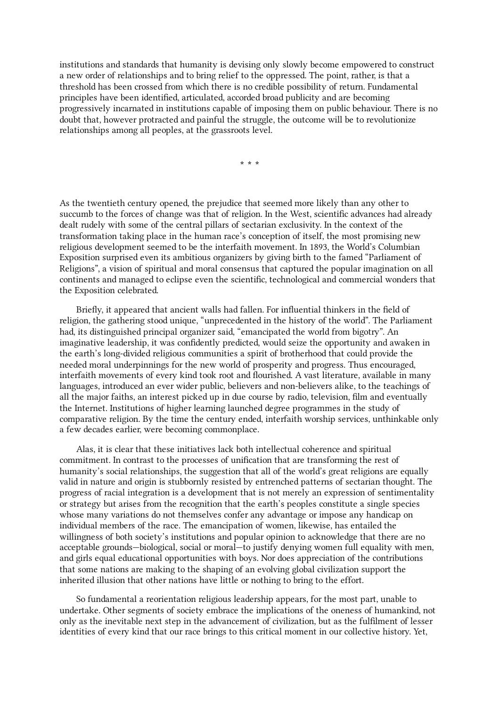institutions and standards that humanity is devising only slowly become empowered to construct a new order of relationships and to bring relief to the oppressed. The point, rather, is that a threshold has been crossed from which there is no credible possibility of return. Fundamental principles have been identified, articulated, accorded broad publicity and are becoming progressively incarnated in institutions capable of imposing them on public behaviour. There is no doubt that, however protracted and painful the struggle, the outcome will be to revolutionize relationships among all peoples, at the grassroots level.

\* \* \*

As the twentieth century opened, the prejudice that seemed more likely than any other to succumb to the forces of change was that of religion. In the West, scientific advances had already dealt rudely with some of the central pillars of sectarian exclusivity. In the context of the transformation taking place in the human race's conception of itself, the most promising new religious development seemed to be the interfaith movement. In 1893, the World's Columbian Exposition surprised even its ambitious organizers by giving birth to the famed "Parliament of Religions", a vision of spiritual and moral consensus that captured the popular imagination on all continents and managed to eclipse even the scientific, technological and commercial wonders that the Exposition celebrated.

Briefly, it appeared that ancient walls had fallen. For influential thinkers in the field of religion, the gathering stood unique, "unprecedented in the history of the world". The Parliament had, its distinguished principal organizer said, "emancipated the world from bigotry". An imaginative leadership, it was confidently predicted, would seize the opportunity and awaken in the earth's long-divided religious communities a spirit of brotherhood that could provide the needed moral underpinnings for the new world of prosperity and progress. Thus encouraged, interfaith movements of every kind took root and flourished. A vast literature, available in many languages, introduced an ever wider public, believers and non-believers alike, to the teachings of all the major faiths, an interest picked up in due course by radio, television, film and eventually the Internet. Institutions of higher learning launched degree programmes in the study of comparative religion. By the time the century ended, interfaith worship services, unthinkable only a few decades earlier, were becoming commonplace.

Alas, it is clear that these initiatives lack both intellectual coherence and spiritual commitment. In contrast to the processes of unification that are transforming the rest of humanity's social relationships, the suggestion that all of the world's great religions are equally valid in nature and origin is stubbornly resisted by entrenched patterns of sectarian thought. The progress of racial integration is a development that is not merely an expression of sentimentality or strategy but arises from the recognition that the earth's peoples constitute a single species whose many variations do not themselves confer any advantage or impose any handicap on individual members of the race. The emancipation of women, likewise, has entailed the willingness of both society's institutions and popular opinion to acknowledge that there are no acceptable grounds—biological, social or moral—to justify denying women full equality with men, and girls equal educational opportunities with boys. Nor does appreciation of the contributions that some nations are making to the shaping of an evolving global civilization support the inherited illusion that other nations have little or nothing to bring to the effort.

So fundamental a reorientation religious leadership appears, for the most part, unable to undertake. Other segments of society embrace the implications of the oneness of humankind, not only as the inevitable next step in the advancement of civilization, but as the fulfilment of lesser identities of every kind that our race brings to this critical moment in our collective history. Yet,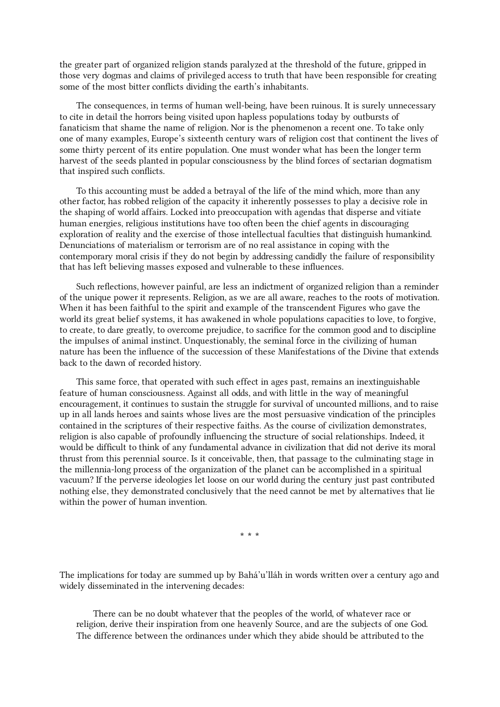the greater part of organized religion stands paralyzed at the threshold of the future, gripped in those very dogmas and claims of privileged access to truth that have been responsible for creating some of the most bitter conflicts dividing the earth's inhabitants.

The consequences, in terms of human well-being, have been ruinous. It is surely unnecessary to cite in detail the horrors being visited upon hapless populations today by outbursts of fanaticism that shame the name of religion. Nor is the phenomenon a recent one. To take only one of many examples, Europe's sixteenth century wars of religion cost that continent the lives of some thirty percent of its entire population. One must wonder what has been the longer term harvest of the seeds planted in popular consciousness by the blind forces of sectarian dogmatism that inspired such conflicts.

To this accounting must be added a betrayal of the life of the mind which, more than any other factor, has robbed religion of the capacity it inherently possesses to play a decisive role in the shaping of world affairs. Locked into preoccupation with agendas that disperse and vitiate human energies, religious institutions have too often been the chief agents in discouraging exploration of reality and the exercise of those intellectual faculties that distinguish humankind. Denunciations of materialism or terrorism are of no real assistance in coping with the contemporary moral crisis if they do not begin by addressing candidly the failure of responsibility that has left believing masses exposed and vulnerable to these influences.

Such reflections, however painful, are less an indictment of organized religion than a reminder of the unique power it represents. Religion, as we are all aware, reaches to the roots of motivation. When it has been faithful to the spirit and example of the transcendent Figures who gave the world its great belief systems, it has awakened in whole populations capacities to love, to forgive, to create, to dare greatly, to overcome prejudice, to sacrifice for the common good and to discipline the impulses of animal instinct. Unquestionably, the seminal force in the civilizing of human nature has been the influence of the succession of these Manifestations of the Divine that extends back to the dawn of recorded history.

This same force, that operated with such effect in ages past, remains an inextinguishable feature of human consciousness. Against all odds, and with little in the way of meaningful encouragement, it continues to sustain the struggle for survival of uncounted millions, and to raise up in all lands heroes and saints whose lives are the most persuasive vindication of the principles contained in the scriptures of their respective faiths. As the course of civilization demonstrates, religion is also capable of profoundly influencing the structure of social relationships. Indeed, it would be difficult to think of any fundamental advance in civilization that did not derive its moral thrust from this perennial source. Is it conceivable, then, that passage to the culminating stage in the millennia-long process of the organization of the planet can be accomplished in a spiritual vacuum? If the perverse ideologies let loose on our world during the century just past contributed nothing else, they demonstrated conclusively that the need cannot be met by alternatives that lie within the power of human invention.

\* \* \*

The implications for today are summed up by Bahá'u'lláh in words written over a century ago and widely disseminated in the intervening decades:

There can be no doubt whatever that the peoples of the world, of whatever race or religion, derive their inspiration from one heavenly Source, and are the subjects of one God. The difference between the ordinances under which they abide should be attributed to the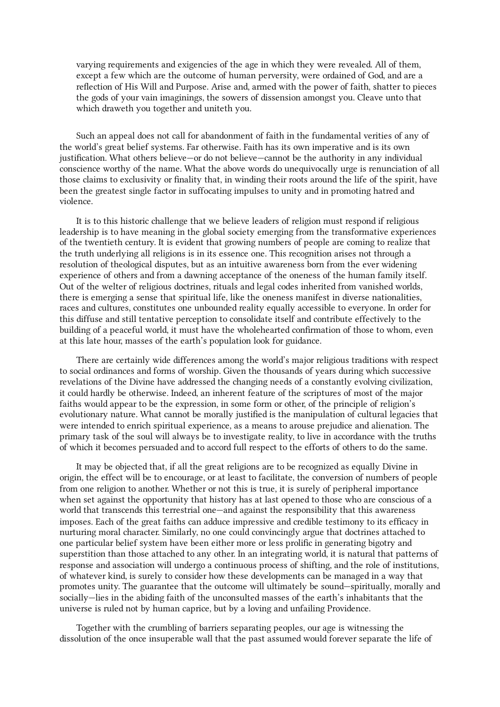varying requirements and exigencies of the age in which they were revealed. All of them, except a few which are the outcome of human perversity, were ordained of God, and are a reflection of His Will and Purpose. Arise and, armed with the power of faith, shatter to pieces the gods of your vain imaginings, the sowers of dissension amongst you. Cleave unto that which draweth you together and uniteth you.

Such an appeal does not call for abandonment of faith in the fundamental verities of any of the world's great belief systems. Far otherwise. Faith has its own imperative and is its own justification. What others believe—or do not believe—cannot be the authority in any individual conscience worthy of the name. What the above words do unequivocally urge is renunciation of all those claims to exclusivity or finality that, in winding their roots around the life of the spirit, have been the greatest single factor in suffocating impulses to unity and in promoting hatred and violence.

It is to this historic challenge that we believe leaders of religion must respond if religious leadership is to have meaning in the global society emerging from the transformative experiences of the twentieth century. It is evident that growing numbers of people are coming to realize that the truth underlying all religions is in its essence one. This recognition arises not through a resolution of theological disputes, but as an intuitive awareness born from the ever widening experience of others and from a dawning acceptance of the oneness of the human family itself. Out of the welter of religious doctrines, rituals and legal codes inherited from vanished worlds, there is emerging a sense that spiritual life, like the oneness manifest in diverse nationalities, races and cultures, constitutes one unbounded reality equally accessible to everyone. In order for this diffuse and still tentative perception to consolidate itself and contribute effectively to the building of a peaceful world, it must have the wholehearted confirmation of those to whom, even at this late hour, masses of the earth's population look for guidance.

There are certainly wide differences among the world's major religious traditions with respect to social ordinances and forms of worship. Given the thousands of years during which successive revelations of the Divine have addressed the changing needs of a constantly evolving civilization, it could hardly be otherwise. Indeed, an inherent feature of the scriptures of most of the major faiths would appear to be the expression, in some form or other, of the principle of religion's evolutionary nature. What cannot be morally justified is the manipulation of cultural legacies that were intended to enrich spiritual experience, as a means to arouse prejudice and alienation. The primary task of the soul will always be to investigate reality, to live in accordance with the truths of which it becomes persuaded and to accord full respect to the efforts of others to do the same.

It may be objected that, if all the great religions are to be recognized as equally Divine in origin, the effect will be to encourage, or at least to facilitate, the conversion of numbers of people from one religion to another. Whether or not this is true, it is surely of peripheral importance when set against the opportunity that history has at last opened to those who are conscious of a world that transcends this terrestrial one—and against the responsibility that this awareness imposes. Each of the great faiths can adduce impressive and credible testimony to its efficacy in nurturing moral character. Similarly, no one could convincingly argue that doctrines attached to one particular belief system have been either more or less prolific in generating bigotry and superstition than those attached to any other. In an integrating world, it is natural that patterns of response and association will undergo a continuous process of shifting, and the role of institutions, of whatever kind, is surely to consider how these developments can be managed in a way that promotes unity. The guarantee that the outcome will ultimately be sound—spiritually, morally and socially—lies in the abiding faith of the unconsulted masses of the earth's inhabitants that the universe is ruled not by human caprice, but by a loving and unfailing Providence.

Together with the crumbling of barriers separating peoples, our age is witnessing the dissolution of the once insuperable wall that the past assumed would forever separate the life of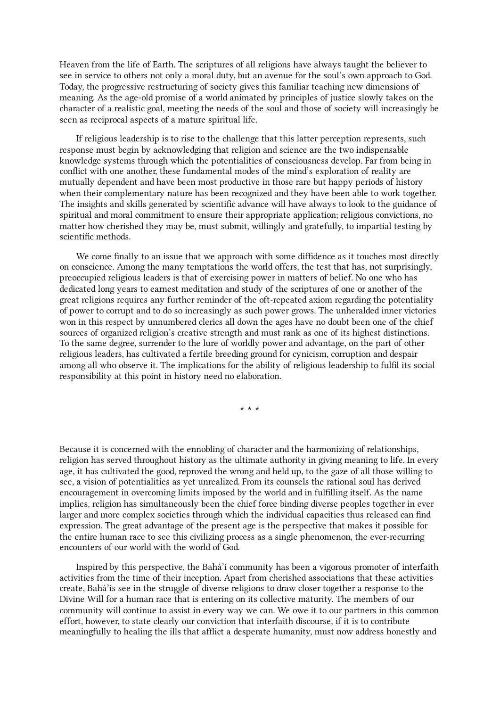Heaven from the life of Earth. The scriptures of all religions have always taught the believer to see in service to others not only a moral duty, but an avenue for the soul's own approach to God. Today, the progressive restructuring of society gives this familiar teaching new dimensions of meaning. As the age-old promise of a world animated by principles of justice slowly takes on the character of a realistic goal, meeting the needs of the soul and those of society will increasingly be seen as reciprocal aspects of a mature spiritual life.

If religious leadership is to rise to the challenge that this latter perception represents, such response must begin by acknowledging that religion and science are the two indispensable knowledge systems through which the potentialities of consciousness develop. Far from being in conflict with one another, these fundamental modes of the mind's exploration of reality are mutually dependent and have been most productive in those rare but happy periods of history when their complementary nature has been recognized and they have been able to work together. The insights and skills generated by scientific advance will have always to look to the guidance of spiritual and moral commitment to ensure their appropriate application; religious convictions, no matter how cherished they may be, must submit, willingly and gratefully, to impartial testing by scientific methods.

We come finally to an issue that we approach with some diffidence as it touches most directly on conscience. Among the many temptations the world offers, the test that has, not surprisingly, preoccupied religious leaders is that of exercising power in matters of belief. No one who has dedicated long years to earnest meditation and study of the scriptures of one or another of the great religions requires any further reminder of the oft-repeated axiom regarding the potentiality of power to corrupt and to do so increasingly as such power grows. The unheralded inner victories won in this respect by unnumbered clerics all down the ages have no doubt been one of the chief sources of organized religion's creative strength and must rank as one of its highest distinctions. To the same degree, surrender to the lure of worldly power and advantage, on the part of other religious leaders, has cultivated a fertile breeding ground for cynicism, corruption and despair among all who observe it. The implications for the ability of religious leadership to fulfil its social responsibility at this point in history need no elaboration.

\* \* \*

Because it is concerned with the ennobling of character and the harmonizing of relationships, religion has served throughout history as the ultimate authority in giving meaning to life. In every age, it has cultivated the good, reproved the wrong and held up, to the gaze of all those willing to see, a vision of potentialities as yet unrealized. From its counsels the rational soul has derived encouragement in overcoming limits imposed by the world and in fulfilling itself. As the name implies, religion has simultaneously been the chief force binding diverse peoples together in ever larger and more complex societies through which the individual capacities thus released can find expression. The great advantage of the present age is the perspective that makes it possible for the entire human race to see this civilizing process as a single phenomenon, the ever-recurring encounters of our world with the world of God.

Inspired by this perspective, the Bahá'í community has been a vigorous promoter of interfaith activities from the time of their inception. Apart from cherished associations that these activities create, Bahá'ís see in the struggle of diverse religions to draw closer together a response to the Divine Will for a human race that is entering on its collective maturity. The members of our community will continue to assist in every way we can. We owe it to our partners in this common effort, however, to state clearly our conviction that interfaith discourse, if it is to contribute meaningfully to healing the ills that afflict a desperate humanity, must now address honestly and